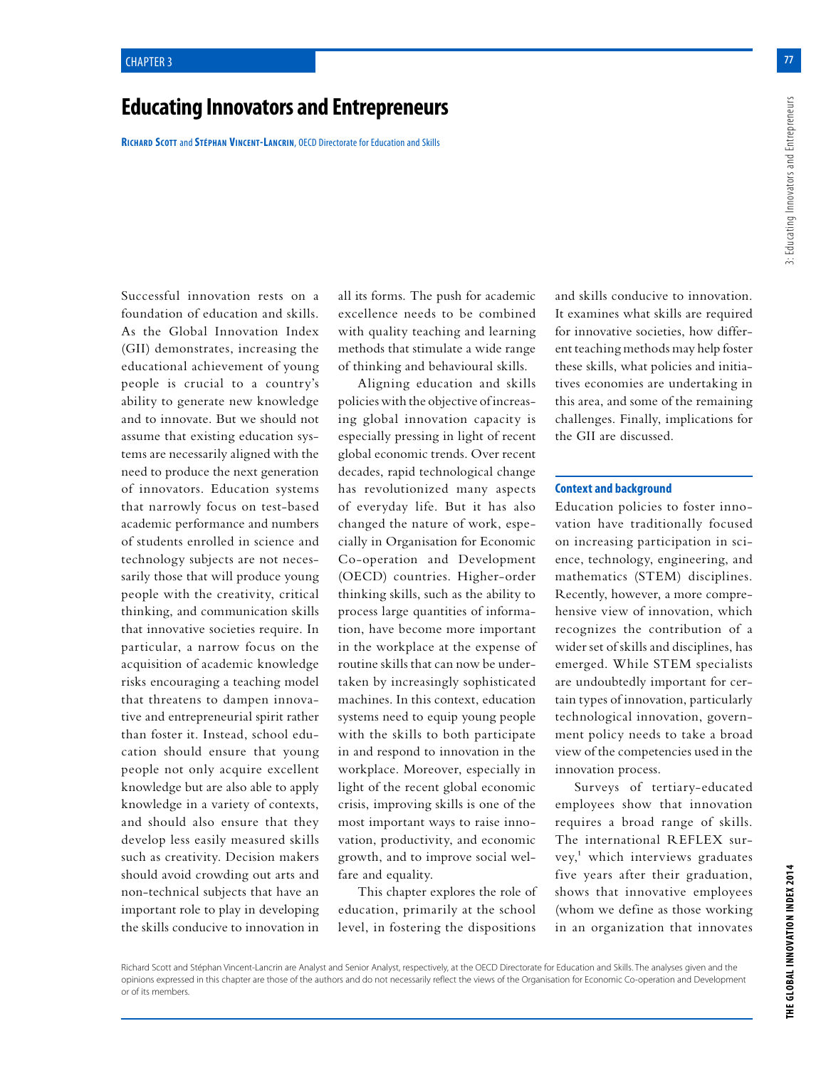# **Educating Innovators and Entrepreneurs**

**Richard Scott** and **Stéphan Vincent-Lancrin**, OECD Directorate for Education and Skills

Successful innovation rests on a foundation of education and skills. As the Global Innovation Index (GII) demonstrates, increasing the educational achievement of young people is crucial to a country's ability to generate new knowledge and to innovate. But we should not assume that existing education systems are necessarily aligned with the need to produce the next generation of innovators. Education systems that narrowly focus on test-based academic performance and numbers of students enrolled in science and technology subjects are not necessarily those that will produce young people with the creativity, critical thinking, and communication skills that innovative societies require. In particular, a narrow focus on the acquisition of academic knowledge risks encouraging a teaching model that threatens to dampen innovative and entrepreneurial spirit rather than foster it. Instead, school education should ensure that young people not only acquire excellent knowledge but are also able to apply knowledge in a variety of contexts, and should also ensure that they develop less easily measured skills such as creativity. Decision makers should avoid crowding out arts and non-technical subjects that have an important role to play in developing the skills conducive to innovation in all its forms. The push for academic excellence needs to be combined with quality teaching and learning methods that stimulate a wide range of thinking and behavioural skills.

Aligning education and skills policies with the objective of increasing global innovation capacity is especially pressing in light of recent global economic trends. Over recent decades, rapid technological change has revolutionized many aspects of everyday life. But it has also changed the nature of work, especially in Organisation for Economic Co-operation and Development (OECD) countries. Higher-order thinking skills, such as the ability to process large quantities of information, have become more important in the workplace at the expense of routine skills that can now be undertaken by increasingly sophisticated machines. In this context, education systems need to equip young people with the skills to both participate in and respond to innovation in the workplace. Moreover, especially in light of the recent global economic crisis, improving skills is one of the most important ways to raise innovation, productivity, and economic growth, and to improve social welfare and equality.

This chapter explores the role of education, primarily at the school level, in fostering the dispositions

and skills conducive to innovation. It examines what skills are required for innovative societies, how different teaching methods may help foster these skills, what policies and initiatives economies are undertaking in this area, and some of the remaining challenges. Finally, implications for the GII are discussed.

#### **Context and background**

Education policies to foster innovation have traditionally focused on increasing participation in science, technology, engineering, and mathematics (STEM) disciplines. Recently, however, a more comprehensive view of innovation, which recognizes the contribution of a wider set of skills and disciplines, has emerged. While STEM specialists are undoubtedly important for certain types of innovation, particularly technological innovation, government policy needs to take a broad view of the competencies used in the innovation process.

Surveys of tertiary-educated employees show that innovation requires a broad range of skills. The international REFLEX survey,<sup>1</sup> which interviews graduates five years after their graduation, shows that innovative employees (whom we define as those working in an organization that innovates

**77**

Richard Scott and Stéphan Vincent-Lancrin are Analyst and Senior Analyst, respectively, at the OECD Directorate for Education and Skills. The analyses given and the opinions expressed in this chapter are those of the authors and do not necessarily reflect the views of the Organisation for Economic Co-operation and Development or of its members.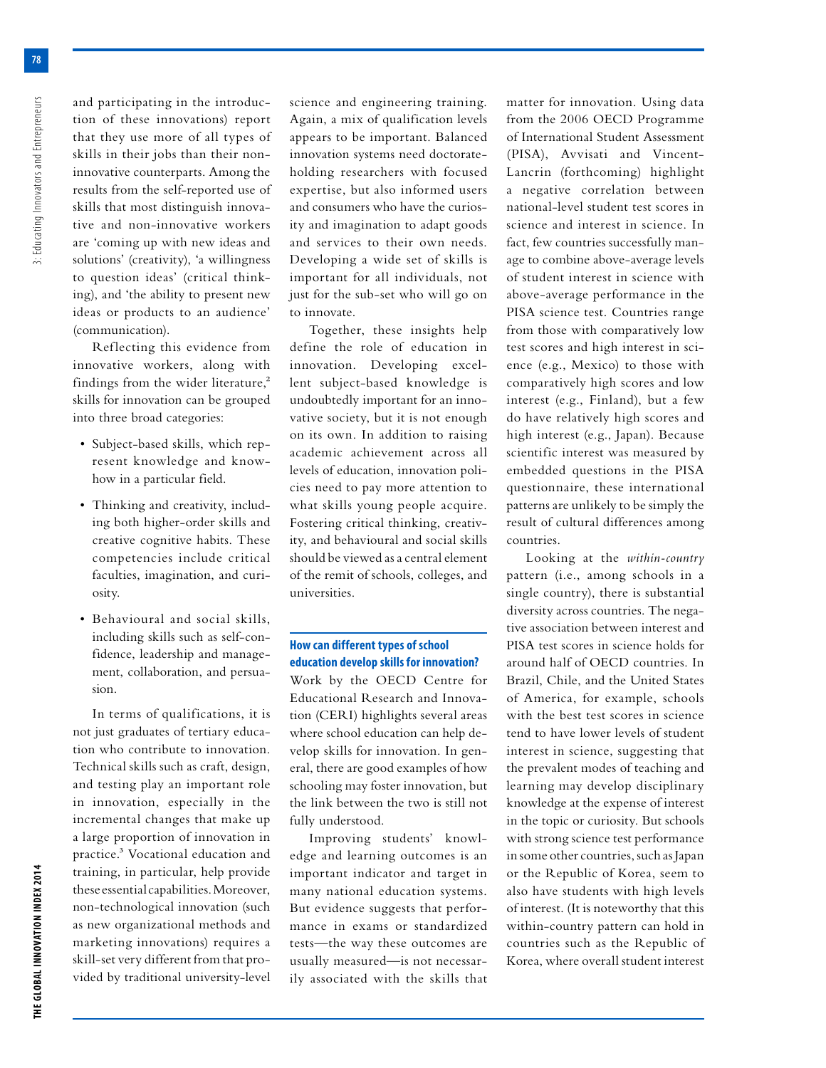3: Educating Innovators and Entrepreneurs

and participating in the introduction of these innovations) report that they use more of all types of skills in their jobs than their noninnovative counterparts. Among the results from the self-reported use of skills that most distinguish innovative and non-innovative workers are 'coming up with new ideas and solutions' (creativity), 'a willingness to question ideas' (critical thinking), and 'the ability to present new ideas or products to an audience' (communication).

Reflecting this evidence from innovative workers, along with findings from the wider literature,<sup>2</sup> skills for innovation can be grouped into three broad categories:

- Subject-based skills, which represent knowledge and knowhow in a particular field.
- Thinking and creativity, including both higher-order skills and creative cognitive habits. These competencies include critical faculties, imagination, and curiosity.
- Behavioural and social skills, including skills such as self-confidence, leadership and management, collaboration, and persuasion.

In terms of qualifications, it is not just graduates of tertiary education who contribute to innovation. Technical skills such as craft, design, and testing play an important role in innovation, especially in the incremental changes that make up a large proportion of innovation in practice.3 Vocational education and training, in particular, help provide these essential capabilities. Moreover, non-technological innovation (such as new organizational methods and marketing innovations) requires a skill-set very different from that provided by traditional university-level science and engineering training. Again, a mix of qualification levels appears to be important. Balanced innovation systems need doctorateholding researchers with focused expertise, but also informed users and consumers who have the curiosity and imagination to adapt goods and services to their own needs. Developing a wide set of skills is important for all individuals, not just for the sub-set who will go on to innovate.

Together, these insights help define the role of education in innovation. Developing excellent subject-based knowledge is undoubtedly important for an innovative society, but it is not enough on its own. In addition to raising academic achievement across all levels of education, innovation policies need to pay more attention to what skills young people acquire. Fostering critical thinking, creativity, and behavioural and social skills should be viewed as a central element of the remit of schools, colleges, and universities.

# **How can different types of school education develop skills for innovation?**

Work by the OECD Centre for Educational Research and Innovation (CERI) highlights several areas where school education can help develop skills for innovation. In general, there are good examples of how schooling may foster innovation, but the link between the two is still not fully understood.

Improving students' knowledge and learning outcomes is an important indicator and target in many national education systems. But evidence suggests that performance in exams or standardized tests—the way these outcomes are usually measured—is not necessarily associated with the skills that

matter for innovation. Using data from the 2006 OECD Programme of International Student Assessment (PISA), Avvisati and Vincent-Lancrin (forthcoming) highlight a negative correlation between national-level student test scores in science and interest in science. In fact, few countries successfully manage to combine above-average levels of student interest in science with above-average performance in the PISA science test. Countries range from those with comparatively low test scores and high interest in science (e.g., Mexico) to those with comparatively high scores and low interest (e.g., Finland), but a few do have relatively high scores and high interest (e.g., Japan). Because scientific interest was measured by embedded questions in the PISA questionnaire, these international patterns are unlikely to be simply the result of cultural differences among countries.

Looking at the *within-country* pattern (i.e., among schools in a single country), there is substantial diversity across countries. The negative association between interest and PISA test scores in science holds for around half of OECD countries. In Brazil, Chile, and the United States of America, for example, schools with the best test scores in science tend to have lower levels of student interest in science, suggesting that the prevalent modes of teaching and learning may develop disciplinary knowledge at the expense of interest in the topic or curiosity. But schools with strong science test performance in some other countries, such as Japan or the Republic of Korea, seem to also have students with high levels of interest. (It is noteworthy that this within-country pattern can hold in countries such as the Republic of Korea, where overall student interest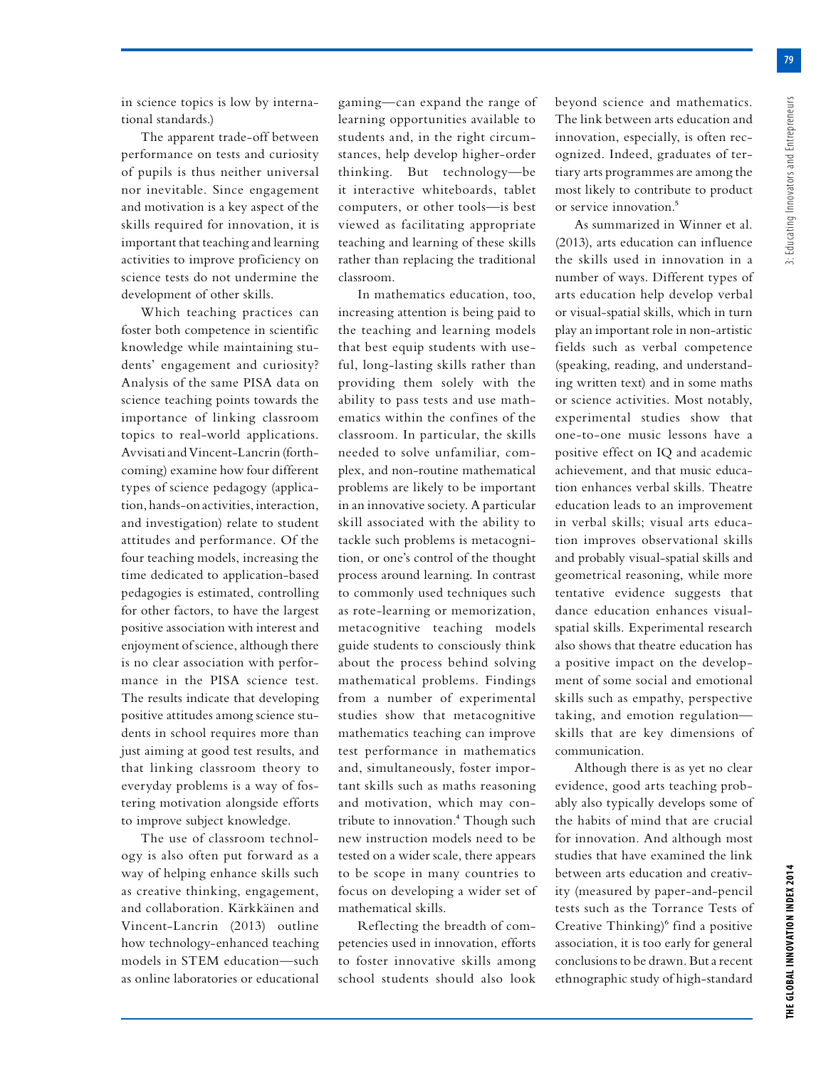**79**

in science topics is low by international standards.)

The apparent trade-off between performance on tests and curiosity of pupils is thus neither universal nor inevitable. Since engagement and motivation is a key aspect of the skills required for innovation, it is important that teaching and learning activities to improve proficiency on science tests do not undermine the development of other skills.

Which teaching practices can foster both competence in scientific knowledge while maintaining students' engagement and curiosity? Analysis of the same PISA data on science teaching points towards the importance of linking classroom topics to real-world applications. Avvisati and Vincent-Lancrin (forthcoming) examine how four different types of science pedagogy (application, hands-on activities, interaction, and investigation) relate to student attitudes and performance. Of the four teaching models, increasing the time dedicated to application-based pedagogies is estimated, controlling for other factors, to have the largest positive association with interest and enjoyment of science, although there is no clear association with performance in the PISA science test. The results indicate that developing positive attitudes among science students in school requires more than just aiming at good test results, and that linking classroom theory to everyday problems is a way of fostering motivation alongside efforts to improve subject knowledge.

The use of classroom technology is also often put forward as a way of helping enhance skills such as creative thinking, engagement, and collaboration. Kärkkäinen and Vincent-Lancrin (2013) outline how technology-enhanced teaching models in STEM education—such as online laboratories or educational gaming—can expand the range of learning opportunities available to students and, in the right circumstances, help develop higher-order thinking. But technology—be it interactive whiteboards, tablet computers, or other tools—is best viewed as facilitating appropriate teaching and learning of these skills rather than replacing the traditional classroom.

In mathematics education, too, increasing attention is being paid to the teaching and learning models that best equip students with useful, long-lasting skills rather than providing them solely with the ability to pass tests and use mathematics within the confines of the classroom. In particular, the skills needed to solve unfamiliar, complex, and non-routine mathematical problems are likely to be important in an innovative society. A particular skill associated with the ability to tackle such problems is metacognition, or one's control of the thought process around learning. In contrast to commonly used techniques such as rote-learning or memorization, metacognitive teaching models guide students to consciously think about the process behind solving mathematical problems. Findings from a number of experimental studies show that metacognitive mathematics teaching can improve test performance in mathematics and, simultaneously, foster important skills such as maths reasoning and motivation, which may contribute to innovation.<sup>4</sup> Though such new instruction models need to be tested on a wider scale, there appears to be scope in many countries to focus on developing a wider set of mathematical skills.

Reflecting the breadth of competencies used in innovation, efforts to foster innovative skills among school students should also look

beyond science and mathematics. The link between arts education and innovation, especially, is often recognized. Indeed, graduates of tertiary arts programmes are among the most likely to contribute to product or service innovation.5

As summarized in Winner et al. (2013), arts education can influence the skills used in innovation in a number of ways. Different types of arts education help develop verbal or visual-spatial skills, which in turn play an important role in non-artistic fields such as verbal competence (speaking, reading, and understanding written text) and in some maths or science activities. Most notably, experimental studies show that one-to-one music lessons have a positive effect on IQ and academic achievement, and that music education enhances verbal skills. Theatre education leads to an improvement in verbal skills; visual arts education improves observational skills and probably visual-spatial skills and geometrical reasoning, while more tentative evidence suggests that dance education enhances visualspatial skills. Experimental research also shows that theatre education has a positive impact on the development of some social and emotional skills such as empathy, perspective taking, and emotion regulation skills that are key dimensions of communication.

Although there is as yet no clear evidence, good arts teaching probably also typically develops some of the habits of mind that are crucial for innovation. And although most studies that have examined the link between arts education and creativity (measured by paper-and-pencil tests such as the Torrance Tests of Creative Thinking) $6$  find a positive association, it is too early for general conclusions to be drawn. But a recent ethnographic study of high-standard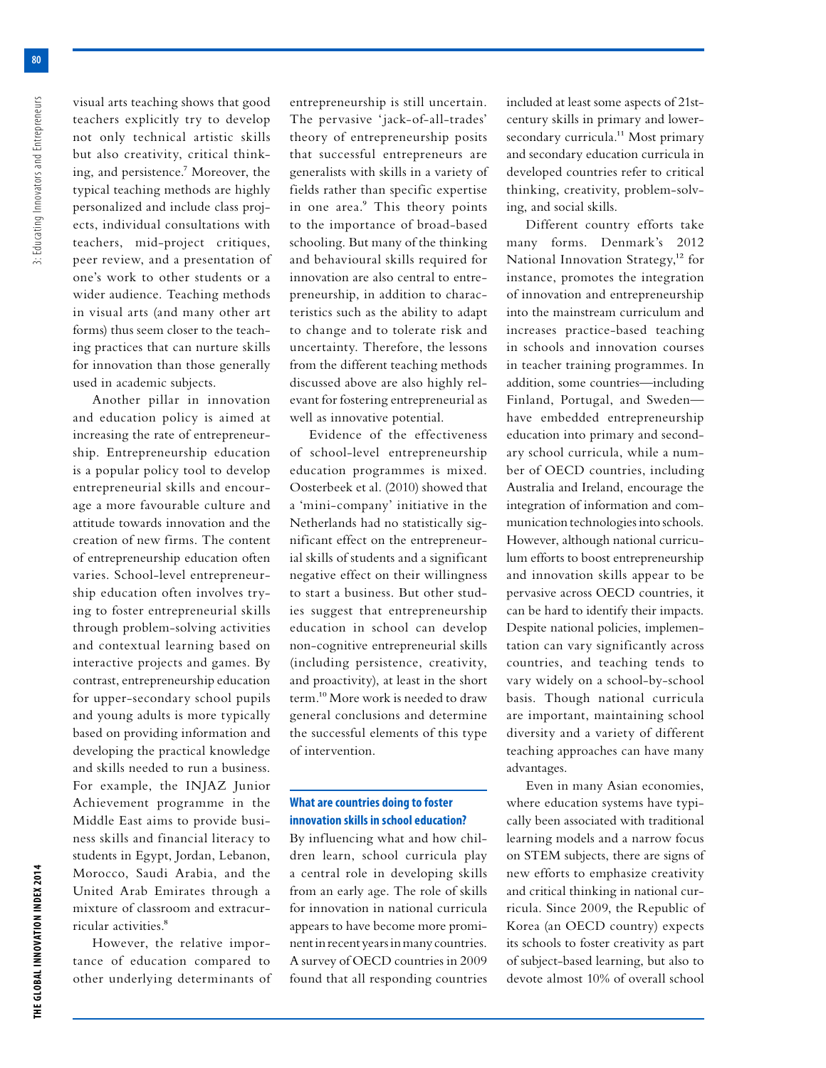3: Educating Innovators and Entrepreneurs **THE GLOBAL INNOVATION INDEX 2014** 3: Educating Innovators and Entrepreneurs visual arts teaching shows that good teachers explicitly try to develop not only technical artistic skills but also creativity, critical thinking, and persistence.7 Moreover, the typical teaching methods are highly personalized and include class projects, individual consultations with teachers, mid-project critiques, peer review, and a presentation of one's work to other students or a wider audience. Teaching methods in visual arts (and many other art forms) thus seem closer to the teaching practices that can nurture skills for innovation than those generally used in academic subjects.

Another pillar in innovation and education policy is aimed at increasing the rate of entrepreneurship. Entrepreneurship education is a popular policy tool to develop entrepreneurial skills and encourage a more favourable culture and attitude towards innovation and the creation of new firms. The content of entrepreneurship education often varies. School-level entrepreneurship education often involves trying to foster entrepreneurial skills through problem-solving activities and contextual learning based on interactive projects and games. By contrast, entrepreneurship education for upper-secondary school pupils and young adults is more typically based on providing information and developing the practical knowledge and skills needed to run a business. For example, the INJAZ Junior Achievement programme in the Middle East aims to provide business skills and financial literacy to students in Egypt, Jordan, Lebanon, Morocco, Saudi Arabia, and the United Arab Emirates through a mixture of classroom and extracurricular activities.<sup>8</sup>

However, the relative importance of education compared to other underlying determinants of entrepreneurship is still uncertain. The pervasive 'jack-of-all-trades' theory of entrepreneurship posits that successful entrepreneurs are generalists with skills in a variety of fields rather than specific expertise in one area.<sup>9</sup> This theory points to the importance of broad-based schooling. But many of the thinking and behavioural skills required for innovation are also central to entrepreneurship, in addition to characteristics such as the ability to adapt to change and to tolerate risk and uncertainty. Therefore, the lessons from the different teaching methods discussed above are also highly relevant for fostering entrepreneurial as well as innovative potential.

Evidence of the effectiveness of school-level entrepreneurship education programmes is mixed. Oosterbeek et al. (2010) showed that a 'mini-company' initiative in the Netherlands had no statistically significant effect on the entrepreneurial skills of students and a significant negative effect on their willingness to start a business. But other studies suggest that entrepreneurship education in school can develop non-cognitive entrepreneurial skills (including persistence, creativity, and proactivity), at least in the short term.10 More work is needed to draw general conclusions and determine the successful elements of this type of intervention.

# **What are countries doing to foster innovation skills in school education?**

By influencing what and how children learn, school curricula play a central role in developing skills from an early age. The role of skills for innovation in national curricula appears to have become more prominent in recent years in many countries. A survey of OECD countries in 2009 found that all responding countries

included at least some aspects of 21stcentury skills in primary and lowersecondary curricula.<sup>11</sup> Most primary and secondary education curricula in developed countries refer to critical thinking, creativity, problem-solving, and social skills.

Different country efforts take many forms. Denmark's 2012 National Innovation Strategy,<sup>12</sup> for instance, promotes the integration of innovation and entrepreneurship into the mainstream curriculum and increases practice-based teaching in schools and innovation courses in teacher training programmes. In addition, some countries—including Finland, Portugal, and Sweden have embedded entrepreneurship education into primary and secondary school curricula, while a number of OECD countries, including Australia and Ireland, encourage the integration of information and communication technologies into schools. However, although national curriculum efforts to boost entrepreneurship and innovation skills appear to be pervasive across OECD countries, it can be hard to identify their impacts. Despite national policies, implementation can vary significantly across countries, and teaching tends to vary widely on a school-by-school basis. Though national curricula are important, maintaining school diversity and a variety of different teaching approaches can have many advantages.

Even in many Asian economies, where education systems have typically been associated with traditional learning models and a narrow focus on STEM subjects, there are signs of new efforts to emphasize creativity and critical thinking in national curricula. Since 2009, the Republic of Korea (an OECD country) expects its schools to foster creativity as part of subject-based learning, but also to devote almost 10% of overall school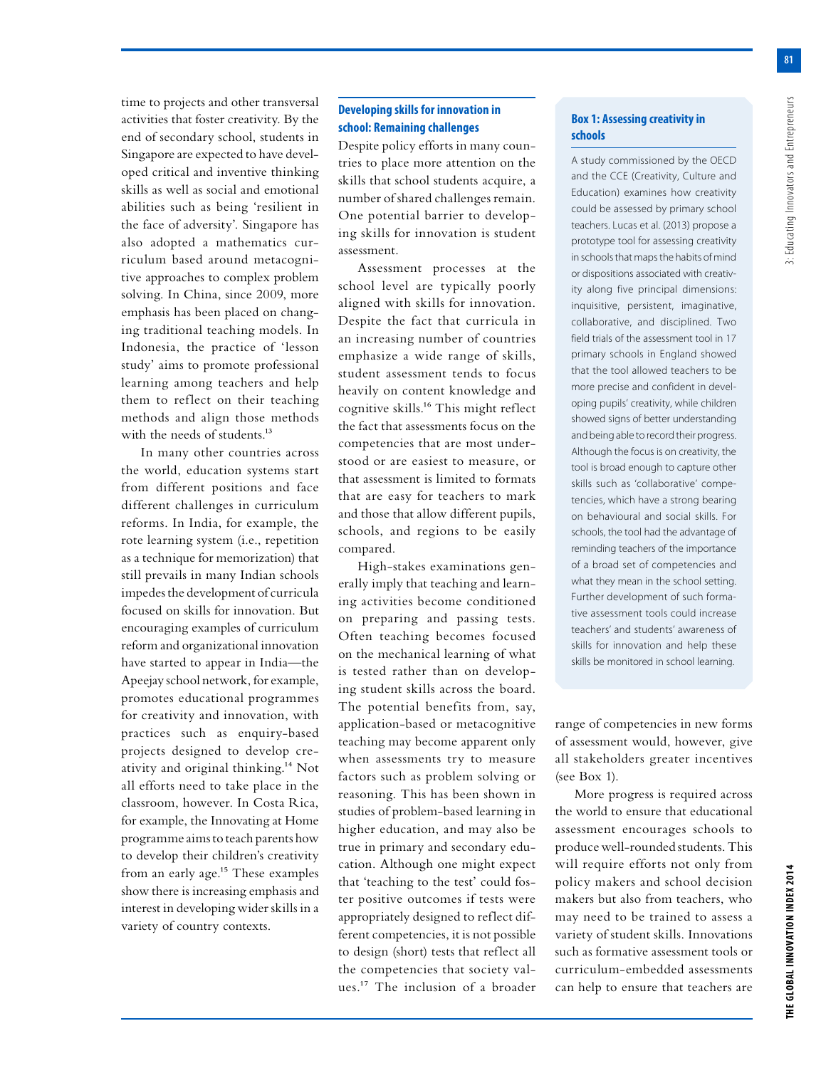**81**

time to projects and other transversal activities that foster creativity. By the end of secondary school, students in Singapore are expected to have developed critical and inventive thinking skills as well as social and emotional abilities such as being 'resilient in the face of adversity'. Singapore has also adopted a mathematics curriculum based around metacognitive approaches to complex problem solving. In China, since 2009, more emphasis has been placed on changing traditional teaching models. In Indonesia, the practice of 'lesson study' aims to promote professional learning among teachers and help them to reflect on their teaching methods and align those methods with the needs of students.<sup>13</sup>

In many other countries across the world, education systems start from different positions and face different challenges in curriculum reforms. In India, for example, the rote learning system (i.e., repetition as a technique for memorization) that still prevails in many Indian schools impedes the development of curricula focused on skills for innovation. But encouraging examples of curriculum reform and organizational innovation have started to appear in India—the Apeejay school network, for example, promotes educational programmes for creativity and innovation, with practices such as enquiry-based projects designed to develop creativity and original thinking.14 Not all efforts need to take place in the classroom, however. In Costa Rica, for example, the Innovating at Home programme aims to teach parents how to develop their children's creativity from an early age.<sup>15</sup> These examples show there is increasing emphasis and interest in developing wider skills in a variety of country contexts.

#### **Developing skills for innovation in school: Remaining challenges**

Despite policy efforts in many countries to place more attention on the skills that school students acquire, a number of shared challenges remain. One potential barrier to developing skills for innovation is student assessment.

Assessment processes at the school level are typically poorly aligned with skills for innovation. Despite the fact that curricula in an increasing number of countries emphasize a wide range of skills, student assessment tends to focus heavily on content knowledge and cognitive skills.16 This might reflect the fact that assessments focus on the competencies that are most understood or are easiest to measure, or that assessment is limited to formats that are easy for teachers to mark and those that allow different pupils, schools, and regions to be easily compared.

High-stakes examinations generally imply that teaching and learning activities become conditioned on preparing and passing tests. Often teaching becomes focused on the mechanical learning of what is tested rather than on developing student skills across the board. The potential benefits from, say, application-based or metacognitive teaching may become apparent only when assessments try to measure factors such as problem solving or reasoning. This has been shown in studies of problem-based learning in higher education, and may also be true in primary and secondary education. Although one might expect that 'teaching to the test' could foster positive outcomes if tests were appropriately designed to reflect different competencies, it is not possible to design (short) tests that reflect all the competencies that society values.17 The inclusion of a broader

### **Box 1: Assessing creativity in schools**

A study commissioned by the OECD and the CCE (Creativity, Culture and Education) examines how creativity could be assessed by primary school teachers. Lucas et al. (2013) propose a prototype tool for assessing creativity in schools that maps the habits of mind or dispositions associated with creativity along five principal dimensions: inquisitive, persistent, imaginative, collaborative, and disciplined. Two field trials of the assessment tool in 17 primary schools in England showed that the tool allowed teachers to be more precise and confident in developing pupils' creativity, while children showed signs of better understanding and being able to record their progress. Although the focus is on creativity, the tool is broad enough to capture other skills such as 'collaborative' competencies, which have a strong bearing on behavioural and social skills. For schools, the tool had the advantage of reminding teachers of the importance of a broad set of competencies and what they mean in the school setting. Further development of such formative assessment tools could increase teachers' and students' awareness of skills for innovation and help these skills be monitored in school learning.

range of competencies in new forms of assessment would, however, give all stakeholders greater incentives (see Box 1).

More progress is required across the world to ensure that educational assessment encourages schools to produce well-rounded students. This will require efforts not only from policy makers and school decision makers but also from teachers, who may need to be trained to assess a variety of student skills. Innovations such as formative assessment tools or curriculum-embedded assessments can help to ensure that teachers are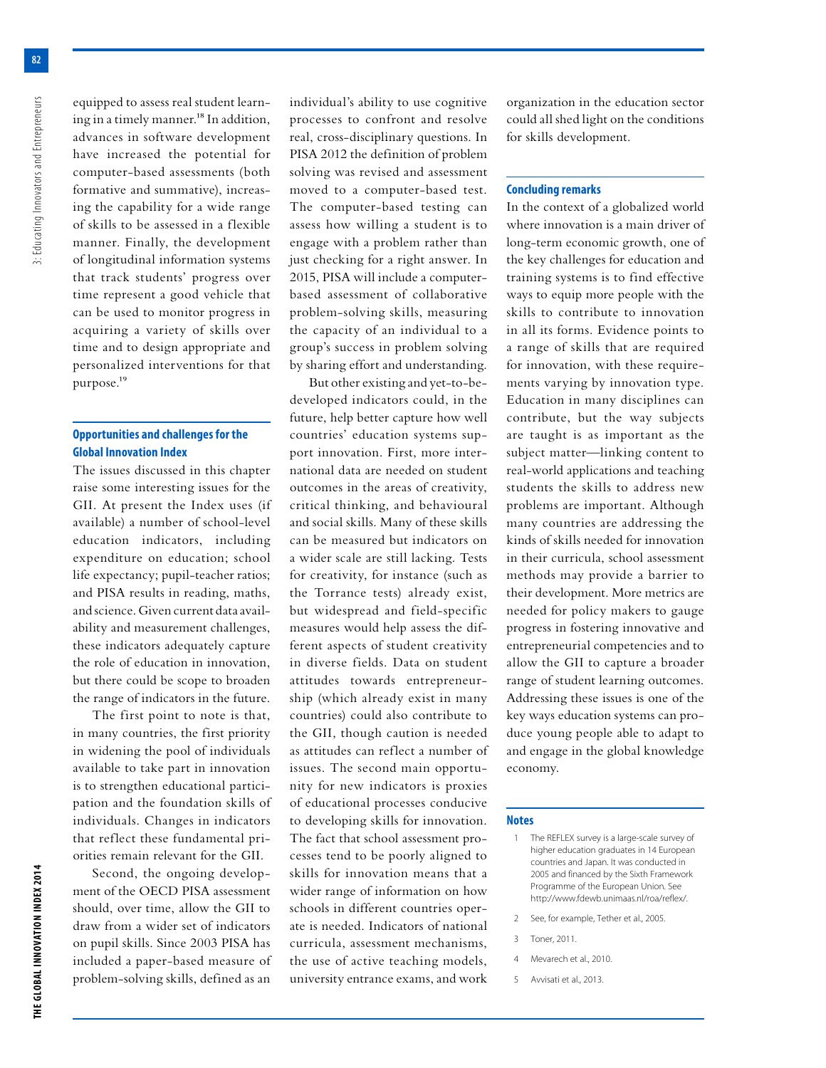**82**

equipped to assess real student learning in a timely manner.<sup>18</sup> In addition, advances in software development have increased the potential for computer-based assessments (both formative and summative), increasing the capability for a wide range of skills to be assessed in a flexible manner. Finally, the development of longitudinal information systems that track students' progress over time represent a good vehicle that can be used to monitor progress in acquiring a variety of skills over time and to design appropriate and personalized interventions for that purpose.19

# **Opportunities and challenges for the Global Innovation Index**

The issues discussed in this chapter raise some interesting issues for the GII. At present the Index uses (if available) a number of school-level education indicators, including expenditure on education; school life expectancy; pupil-teacher ratios; and PISA results in reading, maths, and science. Given current data availability and measurement challenges, these indicators adequately capture the role of education in innovation, but there could be scope to broaden the range of indicators in the future.

The first point to note is that, in many countries, the first priority in widening the pool of individuals available to take part in innovation is to strengthen educational participation and the foundation skills of individuals. Changes in indicators that reflect these fundamental priorities remain relevant for the GII.

Second, the ongoing development of the OECD PISA assessment should, over time, allow the GII to draw from a wider set of indicators on pupil skills. Since 2003 PISA has included a paper-based measure of problem-solving skills, defined as an individual's ability to use cognitive processes to confront and resolve real, cross-disciplinary questions. In PISA 2012 the definition of problem solving was revised and assessment moved to a computer-based test. The computer-based testing can assess how willing a student is to engage with a problem rather than just checking for a right answer. In 2015, PISA will include a computerbased assessment of collaborative problem-solving skills, measuring the capacity of an individual to a group's success in problem solving by sharing effort and understanding.

But other existing and yet-to-bedeveloped indicators could, in the future, help better capture how well countries' education systems support innovation. First, more international data are needed on student outcomes in the areas of creativity, critical thinking, and behavioural and social skills. Many of these skills can be measured but indicators on a wider scale are still lacking. Tests for creativity, for instance (such as the Torrance tests) already exist, but widespread and field-specific measures would help assess the different aspects of student creativity in diverse fields. Data on student attitudes towards entrepreneurship (which already exist in many countries) could also contribute to the GII, though caution is needed as attitudes can reflect a number of issues. The second main opportunity for new indicators is proxies of educational processes conducive to developing skills for innovation. The fact that school assessment processes tend to be poorly aligned to skills for innovation means that a wider range of information on how schools in different countries operate is needed. Indicators of national curricula, assessment mechanisms, the use of active teaching models, university entrance exams, and work

organization in the education sector could all shed light on the conditions for skills development.

#### **Concluding remarks**

In the context of a globalized world where innovation is a main driver of long-term economic growth, one of the key challenges for education and training systems is to find effective ways to equip more people with the skills to contribute to innovation in all its forms. Evidence points to a range of skills that are required for innovation, with these requirements varying by innovation type. Education in many disciplines can contribute, but the way subjects are taught is as important as the subject matter—linking content to real-world applications and teaching students the skills to address new problems are important. Although many countries are addressing the kinds of skills needed for innovation in their curricula, school assessment methods may provide a barrier to their development. More metrics are needed for policy makers to gauge progress in fostering innovative and entrepreneurial competencies and to allow the GII to capture a broader range of student learning outcomes. Addressing these issues is one of the key ways education systems can produce young people able to adapt to and engage in the global knowledge economy.

#### **Notes**

- 1 The REFLEX survey is a large-scale survey of higher education graduates in 14 European countries and Japan. It was conducted in 2005 and financed by the Sixth Framework Programme of the European Union. See http://www.fdewb.unimaas.nl/roa/reflex/.
- 2 See, for example, Tether et al., 2005.
- 3 Toner, 2011.
- 4 Mevarech et al., 2010.
- 5 Avvisati et al., 2013.